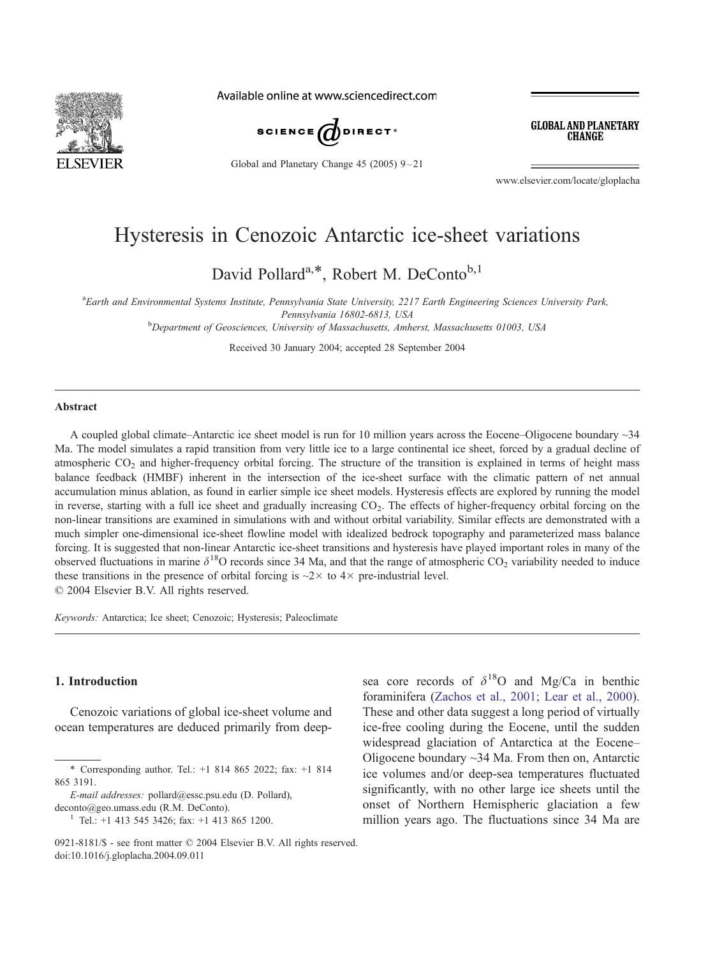

Available online at www.sciencedirect.com



Global and Planetary Change 45 (2005) 9-21

**GLOBAL AND PLANETARY CHANGE** 

www.elsevier.com/locate/gloplacha

# Hysteresis in Cenozoic Antarctic ice-sheet variations

David Pollard<sup>a,\*</sup>, Robert M. DeConto<sup>b,1</sup>

a Earth and Environmental Systems Institute, Pennsylvania State University, 2217 Earth Engineering Sciences University Park, Pennsylvania 16802-6813, USA<br><sup>b</sup>Department of Geosciences, University of Massachusetts, Amherst, Massachusetts 01003, USA

Received 30 January 2004; accepted 28 September 2004

#### Abstract

A coupled global climate–Antarctic ice sheet model is run for 10 million years across the Eocene–Oligocene boundary ~34 Ma. The model simulates a rapid transition from very little ice to a large continental ice sheet, forced by a gradual decline of atmospheric  $CO<sub>2</sub>$  and higher-frequency orbital forcing. The structure of the transition is explained in terms of height mass balance feedback (HMBF) inherent in the intersection of the ice-sheet surface with the climatic pattern of net annual accumulation minus ablation, as found in earlier simple ice sheet models. Hysteresis effects are explored by running the model in reverse, starting with a full ice sheet and gradually increasing  $CO<sub>2</sub>$ . The effects of higher-frequency orbital forcing on the non-linear transitions are examined in simulations with and without orbital variability. Similar effects are demonstrated with a much simpler one-dimensional ice-sheet flowline model with idealized bedrock topography and parameterized mass balance forcing. It is suggested that non-linear Antarctic ice-sheet transitions and hysteresis have played important roles in many of the observed fluctuations in marine  $\delta^{18}O$  records since 34 Ma, and that the range of atmospheric  $CO_2$  variability needed to induce these transitions in the presence of orbital forcing is  $\sim$ 2 $\times$  to 4 $\times$  pre-industrial level.  $© 2004 Elsevier B.V. All rights reserved.$ 

Keywords: Antarctica; Ice sheet; Cenozoic; Hysteresis; Paleoclimate

### 1. Introduction

Cenozoic variations of global ice-sheet volume and ocean temperatures are deduced primarily from deepsea core records of  $\delta^{18}$ O and Mg/Ca in benthic foraminifera ([Zachos et al., 2001; Lear et al., 2000\)](#page-12-0). These and other data suggest a long period of virtually ice-free cooling during the Eocene, until the sudden widespread glaciation of Antarctica at the Eocene– Oligocene boundary ~34 Ma. From then on, Antarctic ice volumes and/or deep-sea temperatures fluctuated significantly, with no other large ice sheets until the onset of Northern Hemispheric glaciation a few million years ago. The fluctuations since 34 Ma are

<sup>\*</sup> Corresponding author. Tel.: +1 814 865 2022; fax: +1 814 865 3191.

E-mail addresses: pollard@essc.psu.edu (D. Pollard), deconto@geo.umass.edu (R.M. DeConto).

<sup>&</sup>lt;sup>1</sup> Tel.: +1 413 545 3426; fax: +1 413 865 1200.

<sup>0921-8181/\$ -</sup> see front matter  $\odot$  2004 Elsevier B.V. All rights reserved. doi:10.1016/j.gloplacha.2004.09.011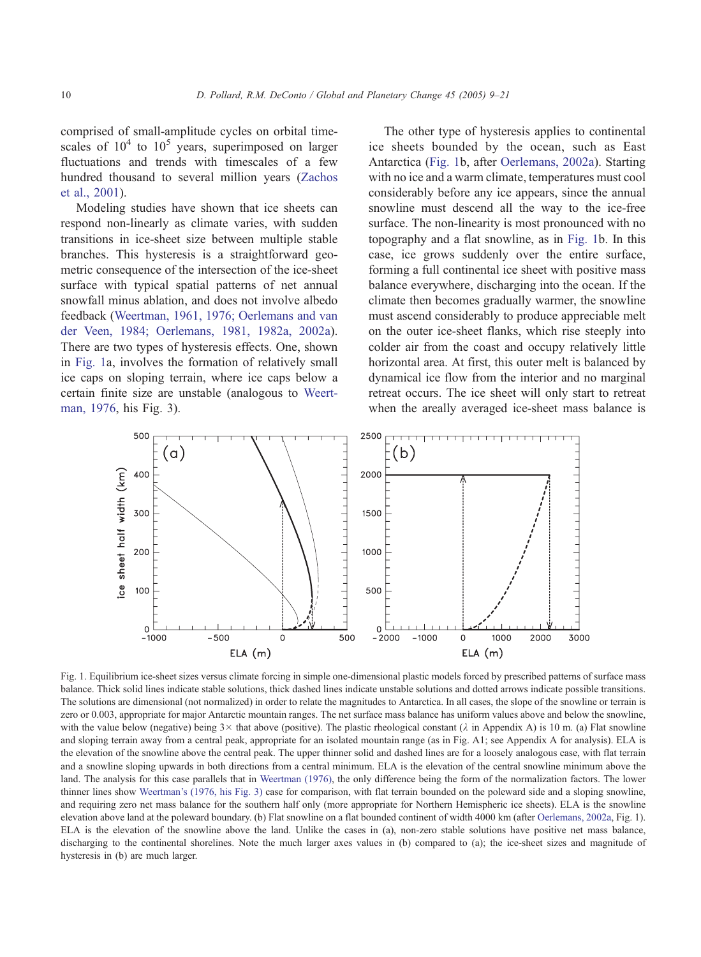<span id="page-1-0"></span>comprised of small-amplitude cycles on orbital timescales of  $10^4$  to  $10^5$  years, superimposed on larger fluctuations and trends with timescales of a few hundred thousand to several million years ([Zachos](#page-12-0) et al., 2001).

Modeling studies have shown that ice sheets can respond non-linearly as climate varies, with sudden transitions in ice-sheet size between multiple stable branches. This hysteresis is a straightforward geometric consequence of the intersection of the ice-sheet surface with typical spatial patterns of net annual snowfall minus ablation, and does not involve albedo feedback ([Weertman, 1961, 1976; Oerlemans and van](#page-12-0) der Veen, 1984; Oerlemans, 1981, 1982a, 2002a). There are two types of hysteresis effects. One, shown in Fig. 1a, involves the formation of relatively small ice caps on sloping terrain, where ice caps below a certain finite size are unstable (analogous to [Weert](#page-12-0)man, 1976, his Fig. 3).

The other type of hysteresis applies to continental ice sheets bounded by the ocean, such as East Antarctica (Fig. 1b, after [Oerlemans, 2002a\)](#page-11-0). Starting with no ice and a warm climate, temperatures must cool considerably before any ice appears, since the annual snowline must descend all the way to the ice-free surface. The non-linearity is most pronounced with no topography and a flat snowline, as in Fig. 1b. In this case, ice grows suddenly over the entire surface, forming a full continental ice sheet with positive mass balance everywhere, discharging into the ocean. If the climate then becomes gradually warmer, the snowline must ascend considerably to produce appreciable melt on the outer ice-sheet flanks, which rise steeply into colder air from the coast and occupy relatively little horizontal area. At first, this outer melt is balanced by dynamical ice flow from the interior and no marginal retreat occurs. The ice sheet will only start to retreat when the areally averaged ice-sheet mass balance is



Fig. 1. Equilibrium ice-sheet sizes versus climate forcing in simple one-dimensional plastic models forced by prescribed patterns of surface mass balance. Thick solid lines indicate stable solutions, thick dashed lines indicate unstable solutions and dotted arrows indicate possible transitions. The solutions are dimensional (not normalized) in order to relate the magnitudes to Antarctica. In all cases, the slope of the snowline or terrain is zero or 0.003, appropriate for major Antarctic mountain ranges. The net surface mass balance has uniform values above and below the snowline, with the value below (negative) being  $3 \times$  that above (positive). The plastic rheological constant ( $\lambda$  in Appendix A) is 10 m. (a) Flat snowline and sloping terrain away from a central peak, appropriate for an isolated mountain range (as in Fig. A1; see Appendix A for analysis). ELA is the elevation of the snowline above the central peak. The upper thinner solid and dashed lines are for a loosely analogous case, with flat terrain and a snowline sloping upwards in both directions from a central minimum. ELA is the elevation of the central snowline minimum above the land. The analysis for this case parallels that in [Weertman \(1976\),](#page-12-0) the only difference being the form of the normalization factors. The lower thinner lines show [Weertman's \(1976, his Fig. 3\)](#page-12-0) case for comparison, with flat terrain bounded on the poleward side and a sloping snowline, and requiring zero net mass balance for the southern half only (more appropriate for Northern Hemispheric ice sheets). ELA is the snowline elevation above land at the poleward boundary. (b) Flat snowline on a flat bounded continent of width 4000 km (after [Oerlemans, 2002a,](#page-11-0) Fig. 1). ELA is the elevation of the snowline above the land. Unlike the cases in (a), non-zero stable solutions have positive net mass balance, discharging to the continental shorelines. Note the much larger axes values in (b) compared to (a); the ice-sheet sizes and magnitude of hysteresis in (b) are much larger.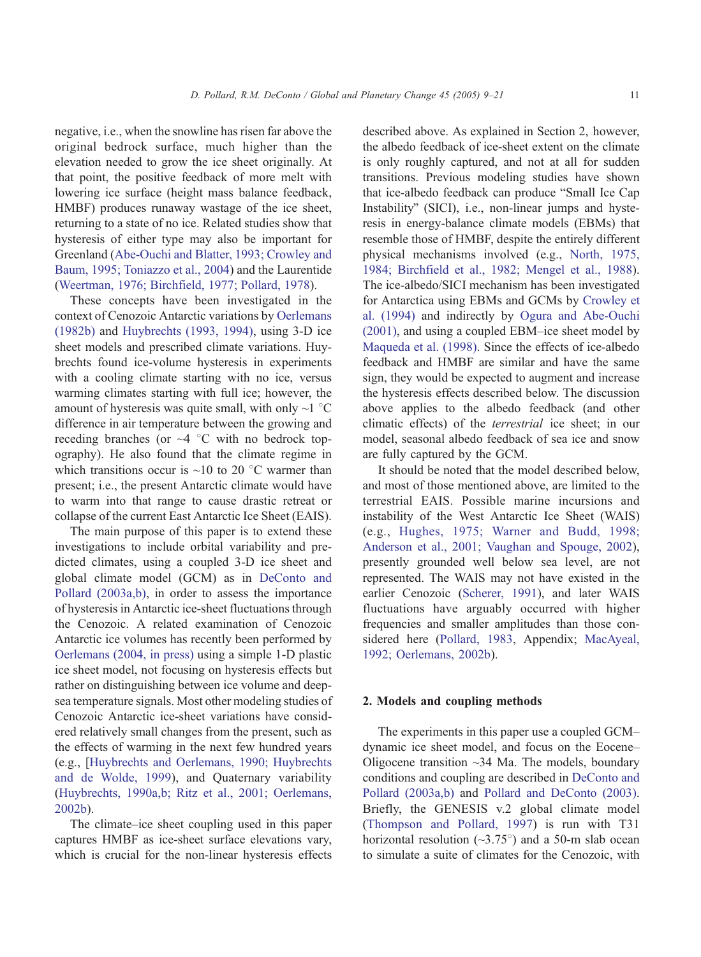negative, i.e., when the snowline has risen far above the original bedrock surface, much higher than the elevation needed to grow the ice sheet originally. At that point, the positive feedback of more melt with lowering ice surface (height mass balance feedback, HMBF) produces runaway wastage of the ice sheet, returning to a state of no ice. Related studies show that hysteresis of either type may also be important for Greenland ([Abe-Ouchi and Blatter, 1993; Crowley and](#page-11-0) Baum, 1995; Toniazzo et al., 2004) and the Laurentide ([Weertman, 1976; Birchfield, 1977; Pollard, 1978\)](#page-12-0).

These concepts have been investigated in the context of Cenozoic Antarctic variations by [Oerlemans](#page-11-0) (1982b) and [Huybrechts \(1993, 1994\),](#page-11-0) using 3-D ice sheet models and prescribed climate variations. Huybrechts found ice-volume hysteresis in experiments with a cooling climate starting with no ice, versus warming climates starting with full ice; however, the amount of hysteresis was quite small, with only  $\sim$ 1 °C difference in air temperature between the growing and receding branches (or  $\sim$ 4 °C with no bedrock topography). He also found that the climate regime in which transitions occur is  $\sim$ 10 to 20 °C warmer than present; i.e., the present Antarctic climate would have to warm into that range to cause drastic retreat or collapse of the current East Antarctic Ice Sheet (EAIS).

The main purpose of this paper is to extend these investigations to include orbital variability and predicted climates, using a coupled 3-D ice sheet and global climate model (GCM) as in [DeConto and](#page-11-0) Pollard (2003a,b), in order to assess the importance of hysteresis in Antarctic ice-sheet fluctuations through the Cenozoic. A related examination of Cenozoic Antarctic ice volumes has recently been performed by [Oerlemans \(2004, in press\)](#page-11-0) using a simple 1-D plastic ice sheet model, not focusing on hysteresis effects but rather on distinguishing between ice volume and deepsea temperature signals. Most other modeling studies of Cenozoic Antarctic ice-sheet variations have considered relatively small changes from the present, such as the effects of warming in the next few hundred years (e.g., [[Huybrechts and Oerlemans, 1990; Huybrechts](#page-11-0) and de Wolde, 1999), and Quaternary variability ([Huybrechts, 1990a,b; Ritz et al., 2001; Oerlemans,](#page-11-0) 2002b).

The climate–ice sheet coupling used in this paper captures HMBF as ice-sheet surface elevations vary, which is crucial for the non-linear hysteresis effects described above. As explained in Section 2, however, the albedo feedback of ice-sheet extent on the climate is only roughly captured, and not at all for sudden transitions. Previous modeling studies have shown that ice-albedo feedback can produce "Small Ice Cap Instability" (SICI), i.e., non-linear jumps and hysteresis in energy-balance climate models (EBMs) that resemble those of HMBF, despite the entirely different physical mechanisms involved (e.g., [North, 1975,](#page-11-0) 1984; Birchfield et al., 1982; Mengel et al., 1988). The ice-albedo/SICI mechanism has been investigated for Antarctica using EBMs and GCMs by [Crowley et](#page-11-0) al. (1994) and indirectly by [Ogura and Abe-Ouchi](#page-12-0) (2001), and using a coupled EBM–ice sheet model by [Maqueda et al. \(1998\).](#page-11-0) Since the effects of ice-albedo feedback and HMBF are similar and have the same sign, they would be expected to augment and increase the hysteresis effects described below. The discussion above applies to the albedo feedback (and other climatic effects) of the terrestrial ice sheet; in our model, seasonal albedo feedback of sea ice and snow are fully captured by the GCM.

It should be noted that the model described below, and most of those mentioned above, are limited to the terrestrial EAIS. Possible marine incursions and instability of the West Antarctic Ice Sheet (WAIS) (e.g., [Hughes, 1975; Warner and Budd, 1998;](#page-11-0) Anderson et al., 2001; Vaughan and Spouge, 2002), presently grounded well below sea level, are not represented. The WAIS may not have existed in the earlier Cenozoic ([Scherer, 1991\)](#page-12-0), and later WAIS fluctuations have arguably occurred with higher frequencies and smaller amplitudes than those considered here ([Pollard, 1983,](#page-12-0) Appendix; [MacAyeal,](#page-11-0) 1992; Oerlemans, 2002b).

# 2. Models and coupling methods

The experiments in this paper use a coupled GCM– dynamic ice sheet model, and focus on the Eocene– Oligocene transition ~34 Ma. The models, boundary conditions and coupling are described in [DeConto and](#page-11-0) Pollard (2003a,b) and [Pollard and DeConto \(2003\).](#page-12-0) Briefly, the GENESIS v.2 global climate model ([Thompson and Pollard, 1997\)](#page-12-0) is run with T31 horizontal resolution ( $\sim$ 3.75°) and a 50-m slab ocean to simulate a suite of climates for the Cenozoic, with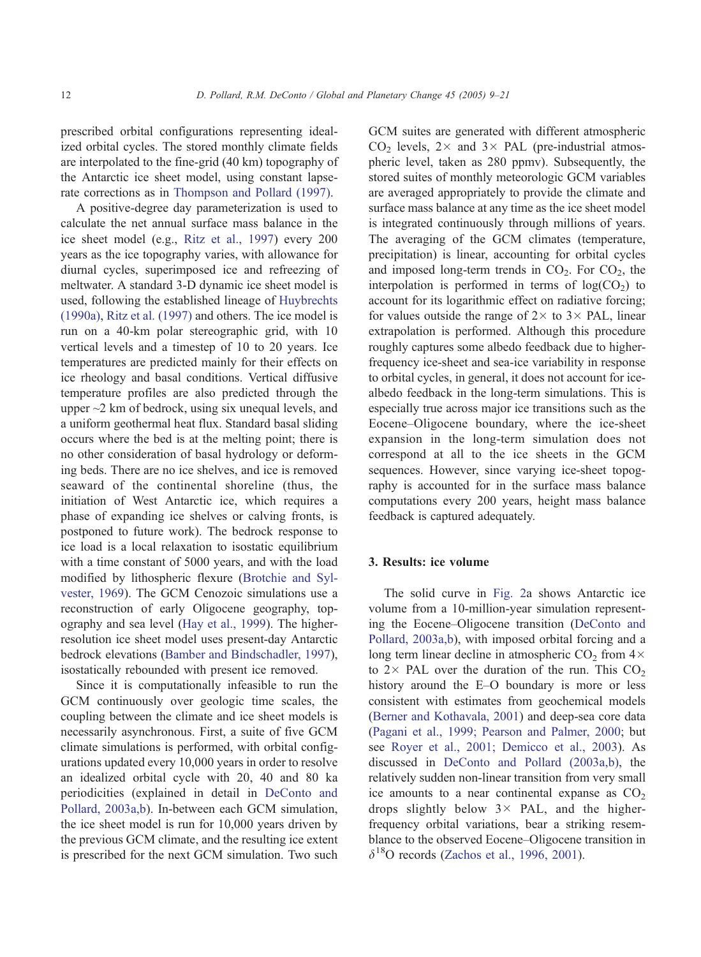prescribed orbital configurations representing idealized orbital cycles. The stored monthly climate fields are interpolated to the fine-grid (40 km) topography of the Antarctic ice sheet model, using constant lapserate corrections as in [Thompson and Pollard \(1997\).](#page-12-0)

A positive-degree day parameterization is used to calculate the net annual surface mass balance in the ice sheet model (e.g., [Ritz et al., 1997\)](#page-12-0) every 200 years as the ice topography varies, with allowance for diurnal cycles, superimposed ice and refreezing of meltwater. A standard 3-D dynamic ice sheet model is used, following the established lineage of [Huybrechts](#page-11-0) (1990a), [Ritz et al. \(1997\)](#page-12-0) and others. The ice model is run on a 40-km polar stereographic grid, with 10 vertical levels and a timestep of 10 to 20 years. Ice temperatures are predicted mainly for their effects on ice rheology and basal conditions. Vertical diffusive temperature profiles are also predicted through the upper ~2 km of bedrock, using six unequal levels, and a uniform geothermal heat flux. Standard basal sliding occurs where the bed is at the melting point; there is no other consideration of basal hydrology or deforming beds. There are no ice shelves, and ice is removed seaward of the continental shoreline (thus, the initiation of West Antarctic ice, which requires a phase of expanding ice shelves or calving fronts, is postponed to future work). The bedrock response to ice load is a local relaxation to isostatic equilibrium with a time constant of 5000 years, and with the load modified by lithospheric flexure ([Brotchie and Syl](#page-11-0)vester, 1969). The GCM Cenozoic simulations use a reconstruction of early Oligocene geography, topography and sea level ([Hay et al., 1999\)](#page-11-0). The higherresolution ice sheet model uses present-day Antarctic bedrock elevations ([Bamber and Bindschadler, 1997\)](#page-11-0), isostatically rebounded with present ice removed.

Since it is computationally infeasible to run the GCM continuously over geologic time scales, the coupling between the climate and ice sheet models is necessarily asynchronous. First, a suite of five GCM climate simulations is performed, with orbital configurations updated every 10,000 years in order to resolve an idealized orbital cycle with 20, 40 and 80 ka periodicities (explained in detail in [DeConto and](#page-11-0) Pollard, 2003a,b). In-between each GCM simulation, the ice sheet model is run for 10,000 years driven by the previous GCM climate, and the resulting ice extent is prescribed for the next GCM simulation. Two such GCM suites are generated with different atmospheric  $CO<sub>2</sub>$  levels,  $2 \times$  and  $3 \times$  PAL (pre-industrial atmospheric level, taken as 280 ppmv). Subsequently, the stored suites of monthly meteorologic GCM variables are averaged appropriately to provide the climate and surface mass balance at any time as the ice sheet model is integrated continuously through millions of years. The averaging of the GCM climates (temperature, precipitation) is linear, accounting for orbital cycles and imposed long-term trends in  $CO<sub>2</sub>$ . For  $CO<sub>2</sub>$ , the interpolation is performed in terms of  $log(CO<sub>2</sub>)$  to account for its logarithmic effect on radiative forcing; for values outside the range of  $2 \times$  to  $3 \times$  PAL, linear extrapolation is performed. Although this procedure roughly captures some albedo feedback due to higherfrequency ice-sheet and sea-ice variability in response to orbital cycles, in general, it does not account for icealbedo feedback in the long-term simulations. This is especially true across major ice transitions such as the Eocene–Oligocene boundary, where the ice-sheet expansion in the long-term simulation does not correspond at all to the ice sheets in the GCM sequences. However, since varying ice-sheet topography is accounted for in the surface mass balance computations every 200 years, height mass balance feedback is captured adequately.

# 3. Results: ice volume

The solid curve in [Fig. 2a](#page-4-0) shows Antarctic ice volume from a 10-million-year simulation representing the Eocene–Oligocene transition ([DeConto and](#page-11-0) Pollard, 2003a,b), with imposed orbital forcing and a long term linear decline in atmospheric  $CO<sub>2</sub>$  from  $4\times$ to  $2 \times$  PAL over the duration of the run. This  $CO<sub>2</sub>$ history around the E–O boundary is more or less consistent with estimates from geochemical models ([Berner and Kothavala, 2001\)](#page-11-0) and deep-sea core data ([Pagani et al., 1999; Pearson and Palmer, 2000;](#page-12-0) but see [Royer et al., 2001; Demicco et al., 2003\)](#page-12-0). As discussed in [DeConto and Pollard \(2003a,b\),](#page-11-0) the relatively sudden non-linear transition from very small ice amounts to a near continental expanse as  $CO<sub>2</sub>$ drops slightly below  $3 \times$  PAL, and the higherfrequency orbital variations, bear a striking resemblance to the observed Eocene–Oligocene transition in  $\delta^{18}$ O records ([Zachos et al., 1996, 2001\)](#page-12-0).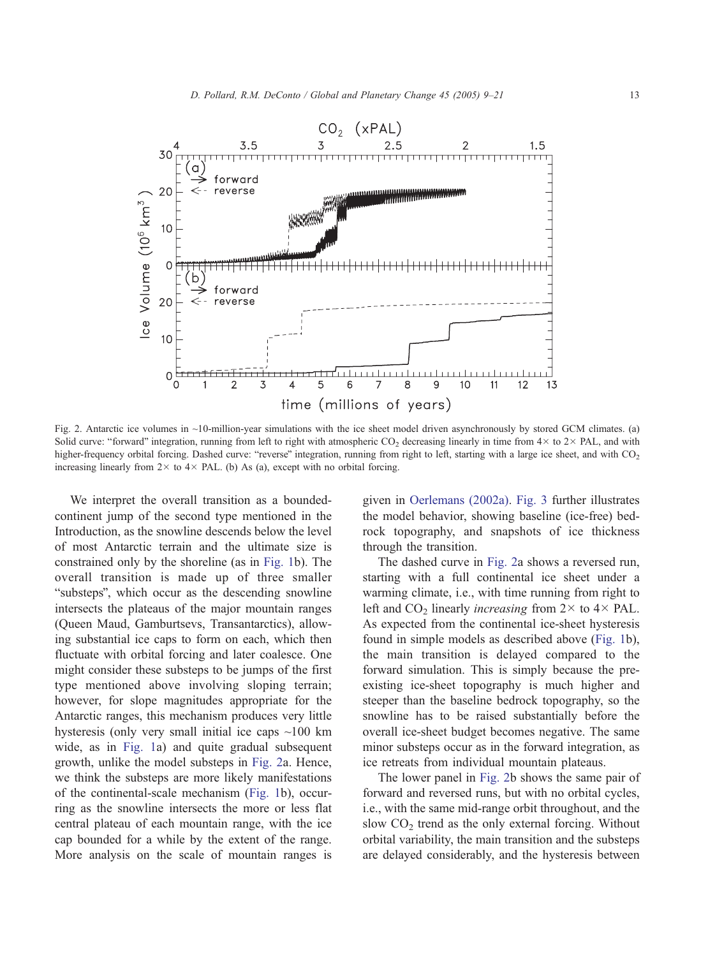<span id="page-4-0"></span>

Fig. 2. Antarctic ice volumes in ~10-million-year simulations with the ice sheet model driven asynchronously by stored GCM climates. (a) Solid curve: "forward" integration, running from left to right with atmospheric CO<sub>2</sub> decreasing linearly in time from  $4 \times$  to  $2 \times$  PAL, and with higher-frequency orbital forcing. Dashed curve: "reverse" integration, running from right to left, starting with a large ice sheet, and with CO<sub>2</sub> increasing linearly from  $2 \times$  to  $4 \times$  PAL. (b) As (a), except with no orbital forcing.

We interpret the overall transition as a boundedcontinent jump of the second type mentioned in the Introduction, as the snowline descends below the level of most Antarctic terrain and the ultimate size is constrained only by the shoreline (as in [Fig. 1b](#page-1-0)). The overall transition is made up of three smaller "substeps", which occur as the descending snowline intersects the plateaus of the major mountain ranges (Queen Maud, Gamburtsevs, Transantarctics), allowing substantial ice caps to form on each, which then fluctuate with orbital forcing and later coalesce. One might consider these substeps to be jumps of the first type mentioned above involving sloping terrain; however, for slope magnitudes appropriate for the Antarctic ranges, this mechanism produces very little hysteresis (only very small initial ice caps ~100 km wide, as in [Fig. 1a](#page-1-0)) and quite gradual subsequent growth, unlike the model substeps in Fig. 2a. Hence, we think the substeps are more likely manifestations of the continental-scale mechanism ([Fig. 1b](#page-1-0)), occurring as the snowline intersects the more or less flat central plateau of each mountain range, with the ice cap bounded for a while by the extent of the range. More analysis on the scale of mountain ranges is

given in [Oerlemans \(2002a\).](#page-11-0) [Fig. 3](#page-5-0) further illustrates the model behavior, showing baseline (ice-free) bedrock topography, and snapshots of ice thickness through the transition.

The dashed curve in Fig. 2a shows a reversed run, starting with a full continental ice sheet under a warming climate, i.e., with time running from right to left and CO<sub>2</sub> linearly *increasing* from  $2 \times$  to  $4 \times$  PAL. As expected from the continental ice-sheet hysteresis found in simple models as described above ([Fig. 1b](#page-1-0)), the main transition is delayed compared to the forward simulation. This is simply because the preexisting ice-sheet topography is much higher and steeper than the baseline bedrock topography, so the snowline has to be raised substantially before the overall ice-sheet budget becomes negative. The same minor substeps occur as in the forward integration, as ice retreats from individual mountain plateaus.

The lower panel in Fig. 2b shows the same pair of forward and reversed runs, but with no orbital cycles, i.e., with the same mid-range orbit throughout, and the slow  $CO<sub>2</sub>$  trend as the only external forcing. Without orbital variability, the main transition and the substeps are delayed considerably, and the hysteresis between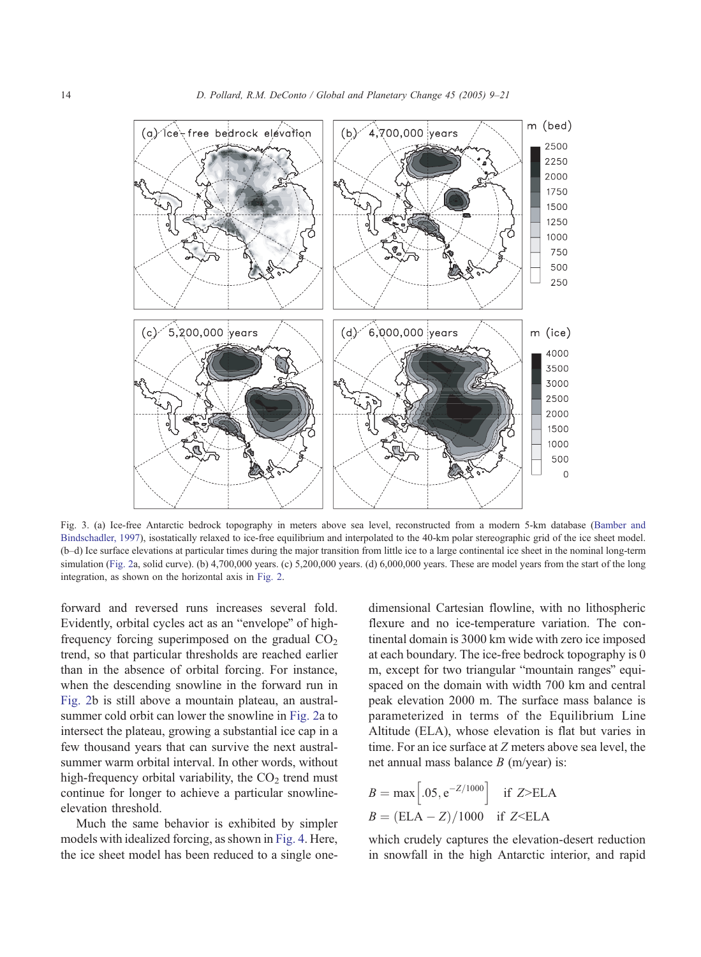<span id="page-5-0"></span>

Fig. 3. (a) Ice-free Antarctic bedrock topography in meters above sea level, reconstructed from a modern 5-km database ([Bamber and](#page-11-0) Bindschadler, 1997), isostatically relaxed to ice-free equilibrium and interpolated to the 40-km polar stereographic grid of the ice sheet model. (b–d) Ice surface elevations at particular times during the major transition from little ice to a large continental ice sheet in the nominal long-term simulation ([Fig. 2a](#page-4-0), solid curve). (b) 4,700,000 years. (c) 5,200,000 years. (d) 6,000,000 years. These are model years from the start of the long integration, as shown on the horizontal axis in [Fig. 2.](#page-4-0)

forward and reversed runs increases several fold. Evidently, orbital cycles act as an "envelope" of highfrequency forcing superimposed on the gradual  $CO<sub>2</sub>$ trend, so that particular thresholds are reached earlier than in the absence of orbital forcing. For instance, when the descending snowline in the forward run in [Fig. 2b](#page-4-0) is still above a mountain plateau, an australsummer cold orbit can lower the snowline in [Fig. 2a](#page-4-0) to intersect the plateau, growing a substantial ice cap in a few thousand years that can survive the next australsummer warm orbital interval. In other words, without high-frequency orbital variability, the  $CO<sub>2</sub>$  trend must continue for longer to achieve a particular snowlineelevation threshold.

Much the same behavior is exhibited by simpler models with idealized forcing, as shown in [Fig. 4.](#page-6-0) Here, the ice sheet model has been reduced to a single onedimensional Cartesian flowline, with no lithospheric flexure and no ice-temperature variation. The continental domain is 3000 km wide with zero ice imposed at each boundary. The ice-free bedrock topography is 0 m, except for two triangular "mountain ranges" equispaced on the domain with width 700 km and central peak elevation 2000 m. The surface mass balance is parameterized in terms of the Equilibrium Line Altitude (ELA), whose elevation is flat but varies in time. For an ice surface at Z meters above sea level, the net annual mass balance  $B$  (m/year) is:

$$
B = \max \left[ .05, e^{-Z/1000} \right]
$$
if Z>ELA  

$$
B = (ELA - Z)/1000
$$
if Z< ELA

which crudely captures the elevation-desert reduction in snowfall in the high Antarctic interior, and rapid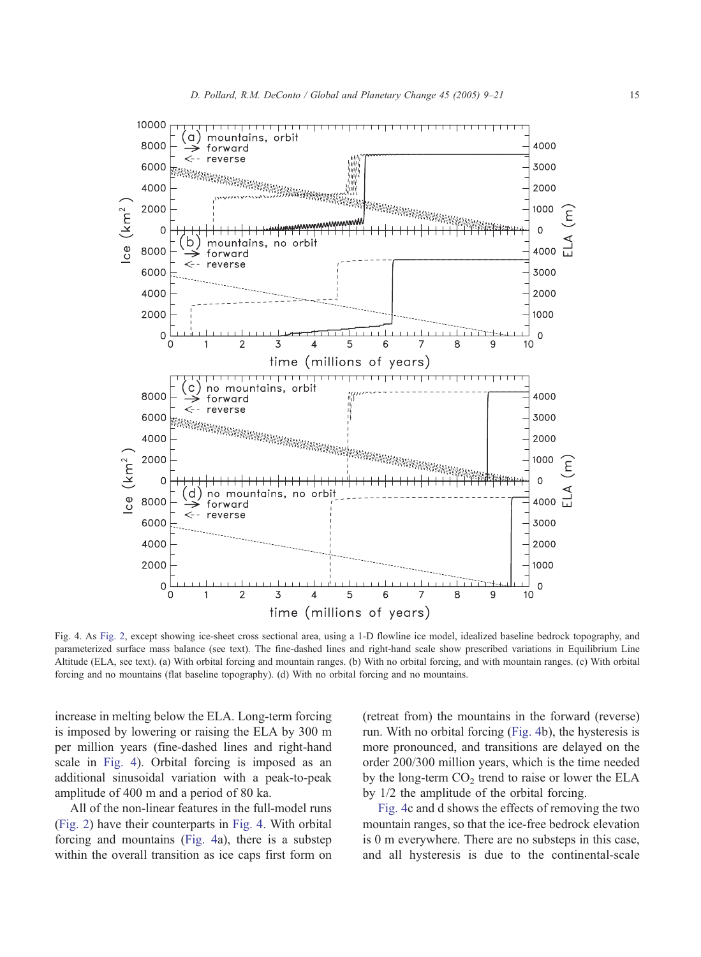<span id="page-6-0"></span>

Fig. 4. As [Fig. 2,](#page-4-0) except showing ice-sheet cross sectional area, using a 1-D flowline ice model, idealized baseline bedrock topography, and parameterized surface mass balance (see text). The fine-dashed lines and right-hand scale show prescribed variations in Equilibrium Line Altitude (ELA, see text). (a) With orbital forcing and mountain ranges. (b) With no orbital forcing, and with mountain ranges. (c) With orbital forcing and no mountains (flat baseline topography). (d) With no orbital forcing and no mountains.

increase in melting below the ELA. Long-term forcing is imposed by lowering or raising the ELA by 300 m per million years (fine-dashed lines and right-hand scale in Fig. 4). Orbital forcing is imposed as an additional sinusoidal variation with a peak-to-peak amplitude of 400 m and a period of 80 ka.

All of the non-linear features in the full-model runs ([Fig. 2\)](#page-4-0) have their counterparts in Fig. 4. With orbital forcing and mountains (Fig. 4a), there is a substep within the overall transition as ice caps first form on

(retreat from) the mountains in the forward (reverse) run. With no orbital forcing (Fig. 4b), the hysteresis is more pronounced, and transitions are delayed on the order 200/300 million years, which is the time needed by the long-term  $CO<sub>2</sub>$  trend to raise or lower the ELA by 1/2 the amplitude of the orbital forcing.

Fig. 4c and d shows the effects of removing the two mountain ranges, so that the ice-free bedrock elevation is 0 m everywhere. There are no substeps in this case, and all hysteresis is due to the continental-scale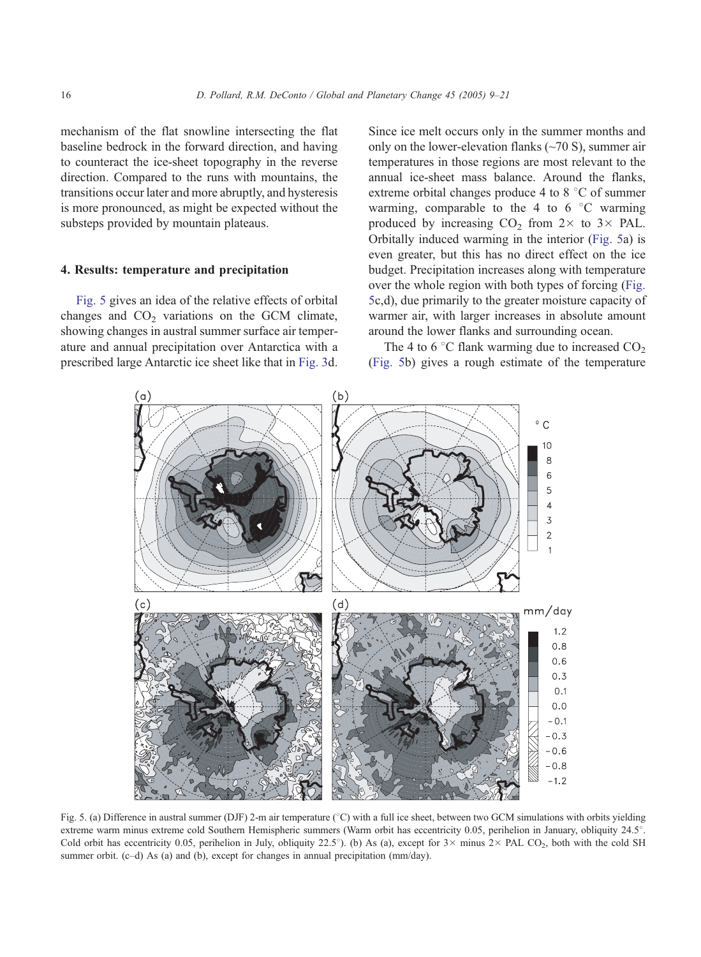<span id="page-7-0"></span>mechanism of the flat snowline intersecting the flat baseline bedrock in the forward direction, and having to counteract the ice-sheet topography in the reverse direction. Compared to the runs with mountains, the transitions occur later and more abruptly, and hysteresis is more pronounced, as might be expected without the substeps provided by mountain plateaus.

#### 4. Results: temperature and precipitation

Fig. 5 gives an idea of the relative effects of orbital changes and  $CO<sub>2</sub>$  variations on the GCM climate, showing changes in austral summer surface air temperature and annual precipitation over Antarctica with a prescribed large Antarctic ice sheet like that in [Fig. 3d](#page-5-0).

Since ice melt occurs only in the summer months and only on the lower-elevation flanks  $(\sim 70 \text{ S})$ , summer air temperatures in those regions are most relevant to the annual ice-sheet mass balance. Around the flanks, extreme orbital changes produce 4 to  $8^{\circ}$ C of summer warming, comparable to the 4 to 6  $\degree$ C warming produced by increasing  $CO<sub>2</sub>$  from  $2 \times$  to  $3 \times$  PAL. Orbitally induced warming in the interior (Fig. 5a) is even greater, but this has no direct effect on the ice budget. Precipitation increases along with temperature over the whole region with both types of forcing (Fig. 5c,d), due primarily to the greater moisture capacity of warmer air, with larger increases in absolute amount around the lower flanks and surrounding ocean.

The 4 to 6  $\degree$ C flank warming due to increased  $CO<sub>2</sub>$ (Fig. 5b) gives a rough estimate of the temperature



Fig. 5. (a) Difference in austral summer (DJF) 2-m air temperature (°C) with a full ice sheet, between two GCM simulations with orbits yielding extreme warm minus extreme cold Southern Hemispheric summers (Warm orbit has eccentricity 0.05, perihelion in January, obliquity 24.5°. Cold orbit has eccentricity 0.05, perihelion in July, obliquity 22.5°). (b) As (a), except for  $3 \times$  minus 2 $\times$  PAL CO<sub>2</sub>, both with the cold SH summer orbit. (c-d) As (a) and (b), except for changes in annual precipitation (mm/day).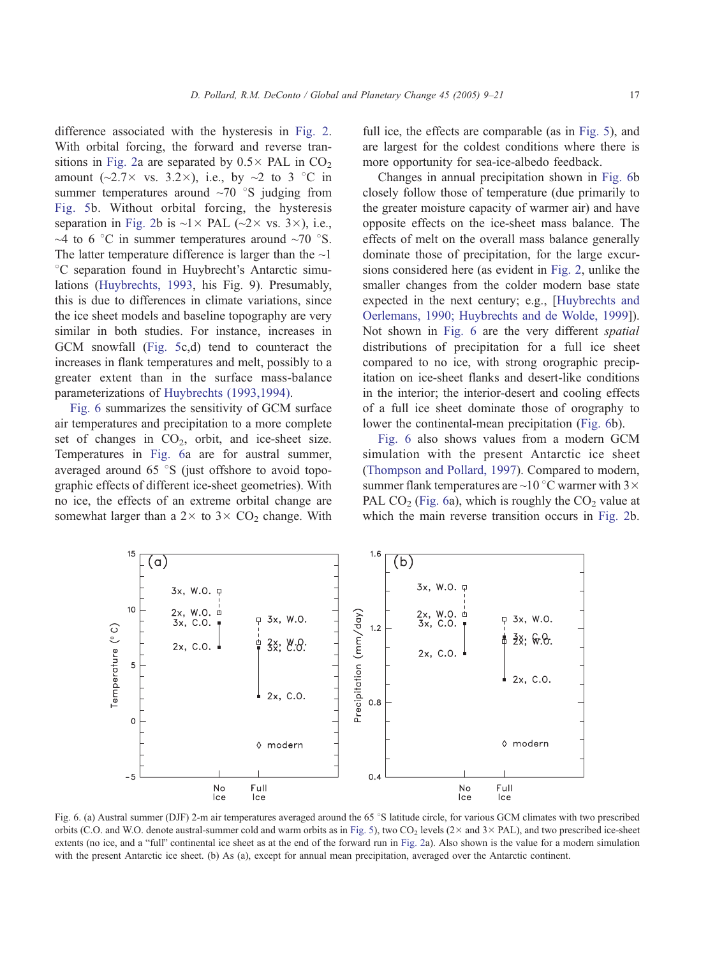<span id="page-8-0"></span>difference associated with the hysteresis in [Fig. 2.](#page-4-0) With orbital forcing, the forward and reverse tran-sitions in [Fig. 2a](#page-4-0) are separated by  $0.5 \times$  PAL in CO<sub>2</sub> amount ( $\sim$ 2.7 $\times$  vs. 3.2 $\times$ ), i.e., by  $\sim$ 2 to 3 °C in summer temperatures around  $\sim70$  °S judging from [Fig. 5b](#page-7-0). Without orbital forcing, the hysteresis separation in [Fig. 2b](#page-4-0) is  $\sim$ 1 × PAL ( $\sim$ 2 × vs. 3 ×), i.e., ~4 to 6  $\degree$ C in summer temperatures around ~70  $\degree$ S. The latter temperature difference is larger than the  $\sim$ 1 <sup>o</sup>C separation found in Huybrecht's Antarctic simulations ([Huybrechts, 1993,](#page-11-0) his Fig. 9). Presumably, this is due to differences in climate variations, since the ice sheet models and baseline topography are very similar in both studies. For instance, increases in GCM snowfall ([Fig. 5c](#page-7-0),d) tend to counteract the increases in flank temperatures and melt, possibly to a greater extent than in the surface mass-balance parameterizations of [Huybrechts \(1993,1994\).](#page-11-0)

Fig. 6 summarizes the sensitivity of GCM surface air temperatures and precipitation to a more complete set of changes in  $CO<sub>2</sub>$ , orbit, and ice-sheet size. Temperatures in Fig. 6a are for austral summer, averaged around  $65 \degree S$  (just offshore to avoid topographic effects of different ice-sheet geometries). With no ice, the effects of an extreme orbital change are somewhat larger than a  $2 \times$  to  $3 \times$  CO<sub>2</sub> change. With

3x, W.O. p

 $(a)$ 

full ice, the effects are comparable (as in [Fig. 5\)](#page-7-0), and are largest for the coldest conditions where there is more opportunity for sea-ice-albedo feedback.

Changes in annual precipitation shown in Fig. 6b closely follow those of temperature (due primarily to the greater moisture capacity of warmer air) and have opposite effects on the ice-sheet mass balance. The effects of melt on the overall mass balance generally dominate those of precipitation, for the large excursions considered here (as evident in [Fig. 2,](#page-4-0) unlike the smaller changes from the colder modern base state expected in the next century; e.g., [[Huybrechts and](#page-11-0) Oerlemans, 1990; Huybrechts and de Wolde, 1999]). Not shown in Fig. 6 are the very different spatial distributions of precipitation for a full ice sheet compared to no ice, with strong orographic precipitation on ice-sheet flanks and desert-like conditions in the interior; the interior-desert and cooling effects of a full ice sheet dominate those of orography to lower the continental-mean precipitation (Fig. 6b).

Fig. 6 also shows values from a modern GCM simulation with the present Antarctic ice sheet ([Thompson and Pollard, 1997\)](#page-12-0). Compared to modern, summer flank temperatures are  $\sim$  10 °C warmer with 3  $\times$ PAL  $CO<sub>2</sub>$  (Fig. 6a), which is roughly the  $CO<sub>2</sub>$  value at which the main reverse transition occurs in [Fig. 2b](#page-4-0).



 $1.6$ 

 $(b)$ 

3x, W.O. p

orbits (C.O. and W.O. denote austral-summer cold and warm orbits as in [Fig. 5\)](#page-7-0), two CO<sub>2</sub> levels ( $2 \times$  and  $3 \times$  PAL), and two prescribed ice-sheet extents (no ice, and a "full" continental ice sheet as at the end of the forward run in [Fig. 2a](#page-4-0)). Also shown is the value for a modern simulation with the present Antarctic ice sheet. (b) As (a), except for annual mean precipitation, averaged over the Antarctic continent.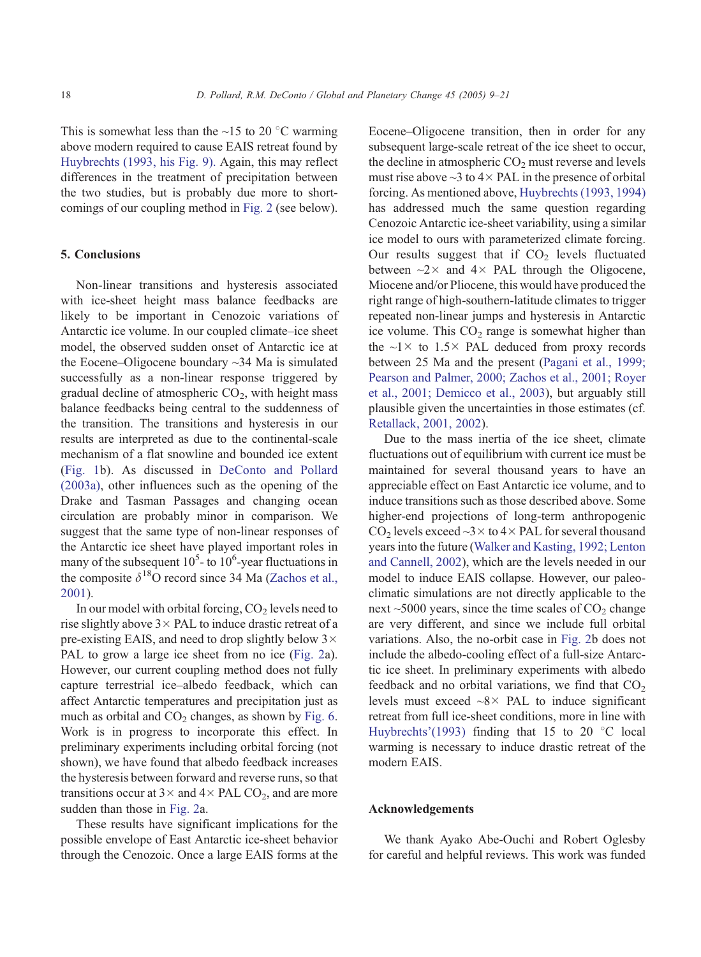This is somewhat less than the  $\sim$ 15 to 20 °C warming above modern required to cause EAIS retreat found by [Huybrechts \(1993, his Fig. 9\).](#page-11-0) Again, this may reflect differences in the treatment of precipitation between the two studies, but is probably due more to shortcomings of our coupling method in [Fig. 2](#page-4-0) (see below).

#### 5. Conclusions

Non-linear transitions and hysteresis associated with ice-sheet height mass balance feedbacks are likely to be important in Cenozoic variations of Antarctic ice volume. In our coupled climate–ice sheet model, the observed sudden onset of Antarctic ice at the Eocene–Oligocene boundary ~34 Ma is simulated successfully as a non-linear response triggered by gradual decline of atmospheric  $CO<sub>2</sub>$ , with height mass balance feedbacks being central to the suddenness of the transition. The transitions and hysteresis in our results are interpreted as due to the continental-scale mechanism of a flat snowline and bounded ice extent ([Fig. 1b](#page-1-0)). As discussed in [DeConto and Pollard](#page-11-0) (2003a), other influences such as the opening of the Drake and Tasman Passages and changing ocean circulation are probably minor in comparison. We suggest that the same type of non-linear responses of the Antarctic ice sheet have played important roles in many of the subsequent  $10^5$ - to  $10^6$ -year fluctuations in the composite  $\delta^{18}$ O record since 34 Ma ([Zachos et al.,](#page-12-0) 2001).

In our model with orbital forcing,  $CO<sub>2</sub>$  levels need to rise slightly above  $3 \times$  PAL to induce drastic retreat of a pre-existing EAIS, and need to drop slightly below  $3 \times$ PAL to grow a large ice sheet from no ice ([Fig. 2a](#page-4-0)). However, our current coupling method does not fully capture terrestrial ice–albedo feedback, which can affect Antarctic temperatures and precipitation just as much as orbital and  $CO<sub>2</sub>$  changes, as shown by [Fig. 6.](#page-8-0) Work is in progress to incorporate this effect. In preliminary experiments including orbital forcing (not shown), we have found that albedo feedback increases the hysteresis between forward and reverse runs, so that transitions occur at  $3 \times$  and  $4 \times$  PAL CO<sub>2</sub>, and are more sudden than those in [Fig. 2a](#page-4-0).

These results have significant implications for the possible envelope of East Antarctic ice-sheet behavior through the Cenozoic. Once a large EAIS forms at the Eocene–Oligocene transition, then in order for any subsequent large-scale retreat of the ice sheet to occur, the decline in atmospheric  $CO<sub>2</sub>$  must reverse and levels must rise above  $\sim$ 3 to 4 $\times$  PAL in the presence of orbital forcing. As mentioned above, [Huybrechts \(1993, 1994\)](#page-11-0) has addressed much the same question regarding Cenozoic Antarctic ice-sheet variability, using a similar ice model to ours with parameterized climate forcing. Our results suggest that if  $CO<sub>2</sub>$  levels fluctuated between  $\sim$ 2 $\times$  and 4 $\times$  PAL through the Oligocene, Miocene and/or Pliocene, this would have produced the right range of high-southern-latitude climates to trigger repeated non-linear jumps and hysteresis in Antarctic ice volume. This  $CO<sub>2</sub>$  range is somewhat higher than the  $\sim$ 1  $\times$  to 1.5  $\times$  PAL deduced from proxy records between 25 Ma and the present ([Pagani et al., 1999;](#page-12-0) Pearson and Palmer, 2000; Zachos et al., 2001; Royer et al., 2001; Demicco et al., 2003), but arguably still plausible given the uncertainties in those estimates (cf. [Retallack, 2001, 2002\)](#page-12-0).

Due to the mass inertia of the ice sheet, climate fluctuations out of equilibrium with current ice must be maintained for several thousand years to have an appreciable effect on East Antarctic ice volume, and to induce transitions such as those described above. Some higher-end projections of long-term anthropogenic CO<sub>2</sub> levels exceed  $\sim$ 3  $\times$  to 4 $\times$  PAL for several thousand years into the future ([Walker and Kasting, 1992; Lenton](#page-12-0) and Cannell, 2002), which are the levels needed in our model to induce EAIS collapse. However, our paleoclimatic simulations are not directly applicable to the next  $\sim$  5000 years, since the time scales of  $CO<sub>2</sub>$  change are very different, and since we include full orbital variations. Also, the no-orbit case in [Fig. 2b](#page-4-0) does not include the albedo-cooling effect of a full-size Antarctic ice sheet. In preliminary experiments with albedo feedback and no orbital variations, we find that  $CO<sub>2</sub>$ levels must exceed  $\sim 8 \times$  PAL to induce significant retreat from full ice-sheet conditions, more in line with [Huybrechts'\(1993\)](#page-11-0) finding that 15 to 20  $\degree$ C local warming is necessary to induce drastic retreat of the modern EAIS.

#### Acknowledgements

We thank Ayako Abe-Ouchi and Robert Oglesby for careful and helpful reviews. This work was funded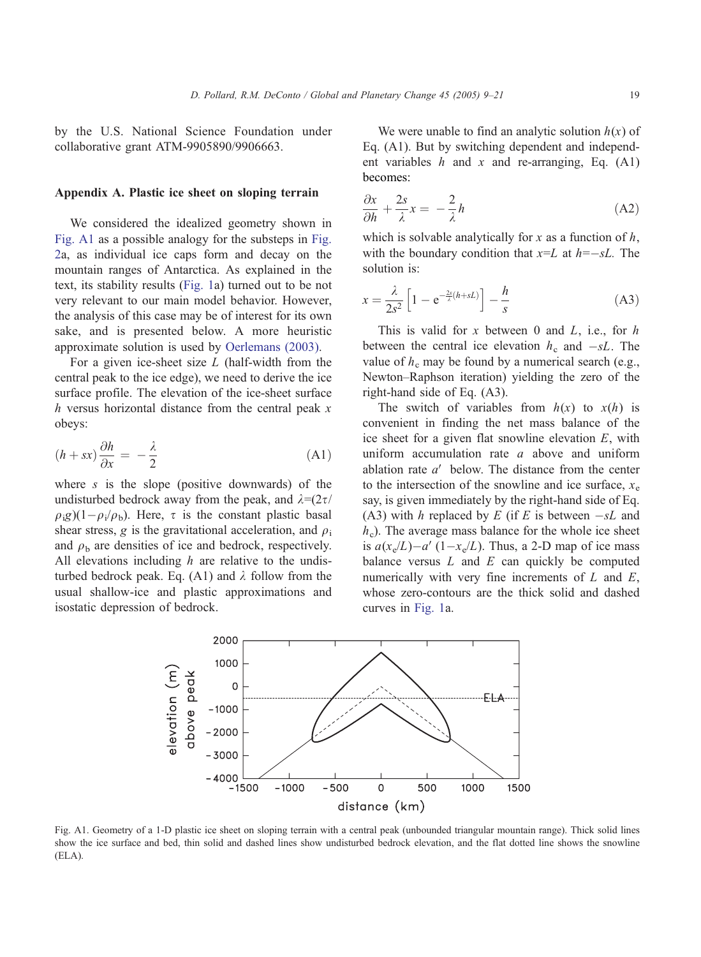by the U.S. National Science Foundation under collaborative grant ATM-9905890/9906663.

# Appendix A. Plastic ice sheet on sloping terrain

We considered the idealized geometry shown in Fig. A1 as a possible analogy for the substeps in [Fig.](#page-4-0) 2a, as individual ice caps form and decay on the mountain ranges of Antarctica. As explained in the text, its stability results ([Fig. 1a](#page-1-0)) turned out to be not very relevant to our main model behavior. However, the analysis of this case may be of interest for its own sake, and is presented below. A more heuristic approximate solution is used by [Oerlemans \(2003\).](#page-11-0)

For a given ice-sheet size  $L$  (half-width from the central peak to the ice edge), we need to derive the ice surface profile. The elevation of the ice-sheet surface h versus horizontal distance from the central peak  $x$ obeys:

$$
(h+sx)\frac{\partial h}{\partial x} = -\frac{\lambda}{2}
$$
 (A1)

where  $s$  is the slope (positive downwards) of the undisturbed bedrock away from the peak, and  $\lambda = (2\tau/\sqrt{2\pi})$  $\rho_{i}g$ )(1- $\rho_{i}/\rho_{b}$ ). Here,  $\tau$  is the constant plastic basal shear stress, g is the gravitational acceleration, and  $\rho_i$ and  $\rho_b$  are densities of ice and bedrock, respectively. All elevations including  $h$  are relative to the undisturbed bedrock peak. Eq. (A1) and  $\lambda$  follow from the usual shallow-ice and plastic approximations and isostatic depression of bedrock.

We were unable to find an analytic solution  $h(x)$  of Eq. (A1). But by switching dependent and independent variables  $h$  and  $x$  and re-arranging, Eq. (A1) becomes:

$$
\frac{\partial x}{\partial h} + \frac{2s}{\lambda} x = -\frac{2}{\lambda} h \tag{A2}
$$

which is solvable analytically for x as a function of  $h$ , with the boundary condition that  $x=L$  at  $h=-sL$ . The solution is:

$$
x = \frac{\lambda}{2s^2} \left[ 1 - e^{-\frac{2s}{\lambda}(h + sL)} \right] - \frac{h}{s}
$$
 (A3)

This is valid for x between 0 and  $L$ , i.e., for  $h$ between the central ice elevation  $h_c$  and  $-sL$ . The value of  $h_c$  may be found by a numerical search (e.g., Newton–Raphson iteration) yielding the zero of the right-hand side of Eq. (A3).

The switch of variables from  $h(x)$  to  $x(h)$  is convenient in finding the net mass balance of the ice sheet for a given flat snowline elevation E, with uniform accumulation rate  $a$  above and uniform ablation rate  $a'$  below. The distance from the center to the intersection of the snowline and ice surface,  $x_e$ say, is given immediately by the right-hand side of Eq. (A3) with h replaced by E (if E is between  $-sL$  and  $h<sub>c</sub>$ ). The average mass balance for the whole ice sheet is  $a(x_e/L) - a'(1-x_e/L)$ . Thus, a 2-D map of ice mass balance versus  $L$  and  $E$  can quickly be computed numerically with very fine increments of  $L$  and  $E$ , whose zero-contours are the thick solid and dashed curves in [Fig. 1a](#page-1-0).



Fig. A1. Geometry of a 1-D plastic ice sheet on sloping terrain with a central peak (unbounded triangular mountain range). Thick solid lines show the ice surface and bed, thin solid and dashed lines show undisturbed bedrock elevation, and the flat dotted line shows the snowline (ELA).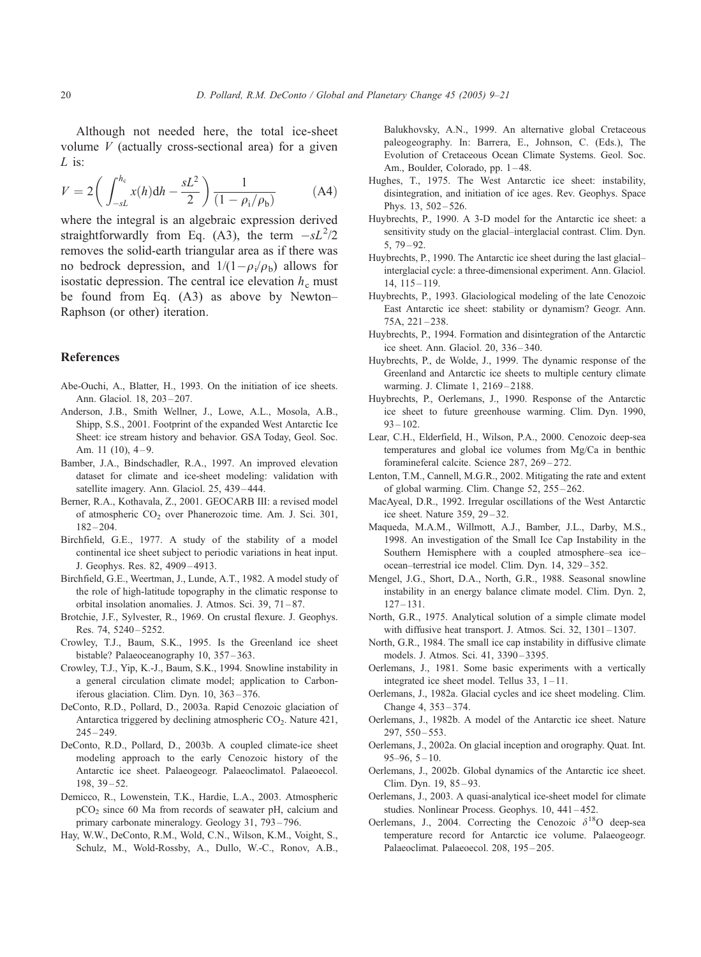<span id="page-11-0"></span>Although not needed here, the total ice-sheet volume  $V$  (actually cross-sectional area) for a given L is:

$$
V = 2\left(\int_{-sL}^{h_c} x(h)dh - \frac{sL^2}{2}\right) \frac{1}{(1 - \rho_i/\rho_b)}
$$
 (A4)

where the integral is an algebraic expression derived straightforwardly from Eq. (A3), the term  $-sL^2/2$ removes the solid-earth triangular area as if there was no bedrock depression, and  $1/(1-\rho_i/\rho_b)$  allows for isostatic depression. The central ice elevation  $h_c$  must be found from Eq. (A3) as above by Newton– Raphson (or other) iteration.

#### References

- Abe-Ouchi, A., Blatter, H., 1993. On the initiation of ice sheets. Ann. Glaciol. 18, 203 – 207.
- Anderson, J.B., Smith Wellner, J., Lowe, A.L., Mosola, A.B., Shipp, S.S., 2001. Footprint of the expanded West Antarctic Ice Sheet: ice stream history and behavior. GSA Today, Geol. Soc. Am.  $11$  (10),  $4-9$ .
- Bamber, J.A., Bindschadler, R.A., 1997. An improved elevation dataset for climate and ice-sheet modeling: validation with satellite imagery. Ann. Glaciol. 25, 439-444.
- Berner, R.A., Kothavala, Z., 2001. GEOCARB III: a revised model of atmospheric CO<sub>2</sub> over Phanerozoic time. Am. J. Sci. 301,  $182 - 204.$
- Birchfield, G.E., 1977. A study of the stability of a model continental ice sheet subject to periodic variations in heat input. J. Geophys. Res. 82, 4909 – 4913.
- Birchfield, G.E., Weertman, J., Lunde, A.T., 1982. A model study of the role of high-latitude topography in the climatic response to orbital insolation anomalies. J. Atmos. Sci. 39, 71-87.
- Brotchie, J.F., Sylvester, R., 1969. On crustal flexure. J. Geophys. Res. 74, 5240 – 5252.
- Crowley, T.J., Baum, S.K., 1995. Is the Greenland ice sheet bistable? Palaeoceanography 10, 357-363.
- Crowley, T.J., Yip, K.-J., Baum, S.K., 1994. Snowline instability in a general circulation climate model; application to Carboniferous glaciation. Clim. Dyn. 10, 363 – 376.
- DeConto, R.D., Pollard, D., 2003a. Rapid Cenozoic glaciation of Antarctica triggered by declining atmospheric  $CO<sub>2</sub>$ . Nature 421,  $245 - 249$ .
- DeConto, R.D., Pollard, D., 2003b. A coupled climate-ice sheet modeling approach to the early Cenozoic history of the Antarctic ice sheet. Palaeogeogr. Palaeoclimatol. Palaeoecol. 198, 39 – 52.
- Demicco, R., Lowenstein, T.K., Hardie, L.A., 2003. Atmospheric pCO2 since 60 Ma from records of seawater pH, calcium and primary carbonate mineralogy. Geology 31, 793 – 796.
- Hay, W.W., DeConto, R.M., Wold, C.N., Wilson, K.M., Voight, S., Schulz, M., Wold-Rossby, A., Dullo, W.-C., Ronov, A.B.,

Balukhovsky, A.N., 1999. An alternative global Cretaceous paleogeography. In: Barrera, E., Johnson, C. (Eds.), The Evolution of Cretaceous Ocean Climate Systems. Geol. Soc. Am., Boulder, Colorado, pp. 1-48.

- Hughes, T., 1975. The West Antarctic ice sheet: instability, disintegration, and initiation of ice ages. Rev. Geophys. Space Phys. 13, 502-526.
- Huybrechts, P., 1990. A 3-D model for the Antarctic ice sheet: a sensitivity study on the glacial–interglacial contrast. Clim. Dyn. 5, 79 – 92.
- Huybrechts, P., 1990. The Antarctic ice sheet during the last glacial– interglacial cycle: a three-dimensional experiment. Ann. Glaciol. 14, 115 – 119.
- Huybrechts, P., 1993. Glaciological modeling of the late Cenozoic East Antarctic ice sheet: stability or dynamism? Geogr. Ann. 75A, 221 – 238.
- Huybrechts, P., 1994. Formation and disintegration of the Antarctic ice sheet. Ann. Glaciol. 20, 336 – 340.
- Huybrechts, P., de Wolde, J., 1999. The dynamic response of the Greenland and Antarctic ice sheets to multiple century climate warming. J. Climate 1, 2169-2188.
- Huybrechts, P., Oerlemans, J., 1990. Response of the Antarctic ice sheet to future greenhouse warming. Clim. Dyn. 1990,  $93 - 102$ .
- Lear, C.H., Elderfield, H., Wilson, P.A., 2000. Cenozoic deep-sea temperatures and global ice volumes from Mg/Ca in benthic foramineferal calcite. Science 287, 269 – 272.
- Lenton, T.M., Cannell, M.G.R., 2002. Mitigating the rate and extent of global warming. Clim. Change 52, 255 – 262.
- MacAyeal, D.R., 1992. Irregular oscillations of the West Antarctic ice sheet. Nature 359, 29 – 32.
- Maqueda, M.A.M., Willmott, A.J., Bamber, J.L., Darby, M.S., 1998. An investigation of the Small Ice Cap Instability in the Southern Hemisphere with a coupled atmosphere–sea ice– ocean–terrestrial ice model. Clim. Dyn. 14, 329 – 352.
- Mengel, J.G., Short, D.A., North, G.R., 1988. Seasonal snowline instability in an energy balance climate model. Clim. Dyn. 2,  $127 - 131.$
- North, G.R., 1975. Analytical solution of a simple climate model with diffusive heat transport. J. Atmos. Sci. 32, 1301-1307.
- North, G.R., 1984. The small ice cap instability in diffusive climate models. J. Atmos. Sci. 41, 3390 – 3395.
- Oerlemans, J., 1981. Some basic experiments with a vertically integrated ice sheet model. Tellus 33, 1 – 11.
- Oerlemans, J., 1982a. Glacial cycles and ice sheet modeling. Clim. Change 4, 353 – 374.
- Oerlemans, J., 1982b. A model of the Antarctic ice sheet. Nature 297, 550 – 553.
- Oerlemans, J., 2002a. On glacial inception and orography. Quat. Int.  $95-96, 5-10.$
- Oerlemans, J., 2002b. Global dynamics of the Antarctic ice sheet. Clim. Dyn. 19, 85-93.
- Oerlemans, J., 2003. A quasi-analytical ice-sheet model for climate studies. Nonlinear Process. Geophys. 10, 441-452.
- Oerlemans, J., 2004. Correcting the Cenozoic  $\delta^{18}$ O deep-sea temperature record for Antarctic ice volume. Palaeogeogr. Palaeoclimat. Palaeoecol. 208, 195-205.